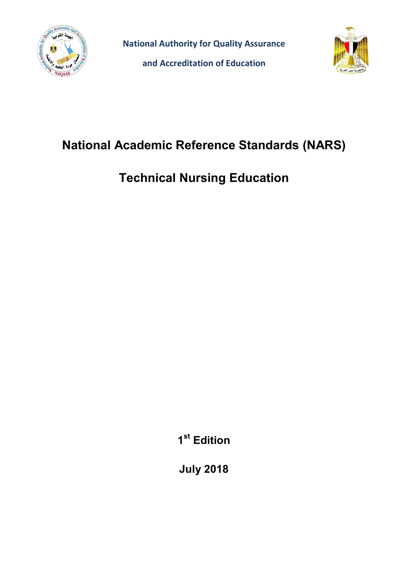

**National Authority for Quality Assurance**

**and Accreditation of Education**



# **National Academic Reference Standards (NARS)**

# **Technical Nursing Education**

**1 st Edition**

**July 2018**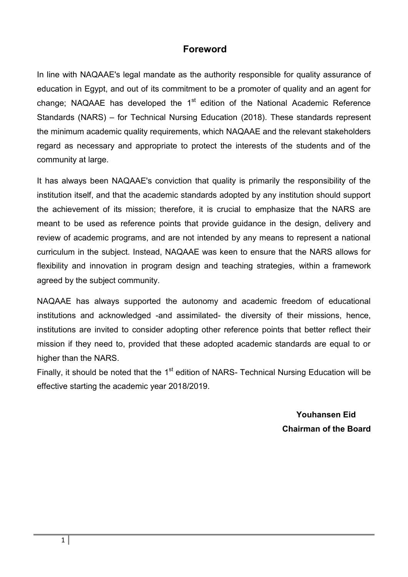## **Foreword**

In line with NAQAAE's legal mandate as the authority responsible for quality assurance of education in Egypt, and out of its commitment to be a promoter of quality and an agent for change; NAQAAE has developed the  $1<sup>st</sup>$  edition of the National Academic Reference Standards (NARS) – for Technical Nursing Education (2018). These standards represent the minimum academic quality requirements, which NAQAAE and the relevant stakeholders regard as necessary and appropriate to protect the interests of the students and of the community at large.

It has always been NAQAAE's conviction that quality is primarily the responsibility of the institution itself, and that the academic standards adopted by any institution should support the achievement of its mission; therefore, it is crucial to emphasize that the NARS are meant to be used as reference points that provide guidance in the design, delivery and review of academic programs, and are not intended by any means to represent a national curriculum in the subject. Instead, NAQAAE was keen to ensure that the NARS allows for flexibility and innovation in program design and teaching strategies, within a framework agreed by the subject community.

NAQAAE has always supported the autonomy and academic freedom of educational institutions and acknowledged -and assimilated- the diversity of their missions, hence, institutions are invited to consider adopting other reference points that better reflect their mission if they need to, provided that these adopted academic standards are equal to or higher than the NARS.

Finally, it should be noted that the 1<sup>st</sup> edition of NARS- Technical Nursing Education will be effective starting the academic year 2018/2019.

> **Youhansen Eid Chairman of the Board**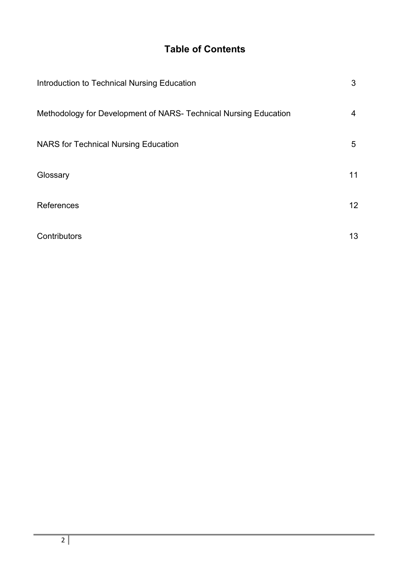# **Table of Contents**

| Introduction to Technical Nursing Education                      | 3  |
|------------------------------------------------------------------|----|
| Methodology for Development of NARS- Technical Nursing Education | 4  |
| <b>NARS</b> for Technical Nursing Education                      | 5  |
| Glossary                                                         | 11 |
| References                                                       | 12 |
| Contributors                                                     | 13 |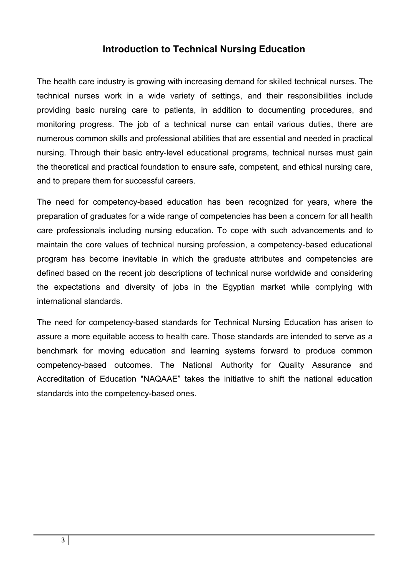# **Introduction to Technical Nursing Education**

The health care industry is growing with increasing demand for skilled technical nurses. The [technical nurses work in a wide variety of settings,](https://www.ecpi.edu/programs/practical-nursing-diploma?cmpid=WEBBLOG-ECPI) and their responsibilities include providing basic nursing care to patients, in addition to documenting procedures, and monitoring progress. The job of a technical nurse can entail various duties, there are numerous common skills and professional abilities that are essential and needed in practical nursing. Through their basic entry-level educational programs, technical nurses must gain the theoretical and practical foundation to ensure safe, competent, and ethical nursing care, and to prepare them for successful careers.

The need for competency-based education has been recognized for years, where the preparation of graduates for a wide range of competencies has been a concern for all health care professionals including nursing education. To cope with such advancements and to maintain the core values of technical nursing profession, a competency-based educational program has become inevitable in which the graduate attributes and competencies are defined based on the recent job descriptions of technical nurse worldwide and considering the expectations and diversity of jobs in the Egyptian market while complying with international standards.

The need for competency-based standards for Technical Nursing Education has arisen to assure a more equitable access to health care. Those standards are intended to serve as a benchmark for moving education and learning systems forward to produce common competency-based outcomes. The National Authority for Quality Assurance and Accreditation of Education "NAQAAE" takes the initiative to shift the national education standards into the competency-based ones.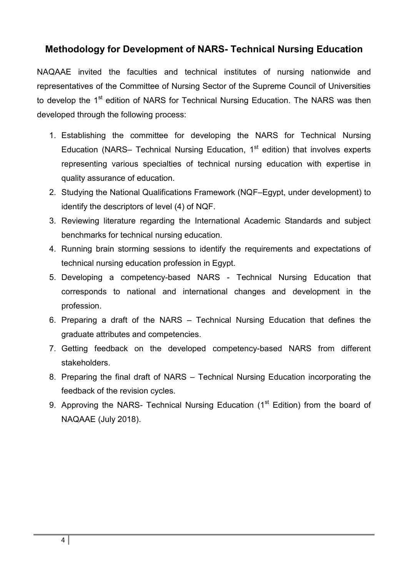# **Methodology for Development of NARS- Technical Nursing Education**

NAQAAE invited the faculties and technical institutes of nursing nationwide and representatives of the Committee of Nursing Sector of the Supreme Council of Universities to develop the 1<sup>st</sup> edition of NARS for Technical Nursing Education. The NARS was then developed through the following process:

- 1. Establishing the committee for developing the NARS for Technical Nursing Education (NARS– Technical Nursing Education, 1<sup>st</sup> edition) that involves experts representing various specialties of technical nursing education with expertise in quality assurance of education.
- 2. Studying the National Qualifications Framework (NQF–Egypt, under development) to identify the descriptors of level (4) of NQF.
- 3. Reviewing literature regarding the International Academic Standards and subject benchmarks for technical nursing education.
- 4. Running brain storming sessions to identify the requirements and expectations of technical nursing education profession in Egypt.
- 5. Developing a competency-based NARS Technical Nursing Education that corresponds to national and international changes and development in the profession.
- 6. Preparing a draft of the NARS Technical Nursing Education that defines the graduate attributes and competencies.
- 7. Getting feedback on the developed competency-based NARS from different stakeholders.
- 8. Preparing the final draft of NARS Technical Nursing Education incorporating the feedback of the revision cycles.
- 9. Approving the NARS- Technical Nursing Education (1<sup>st</sup> Edition) from the board of NAQAAE (July 2018).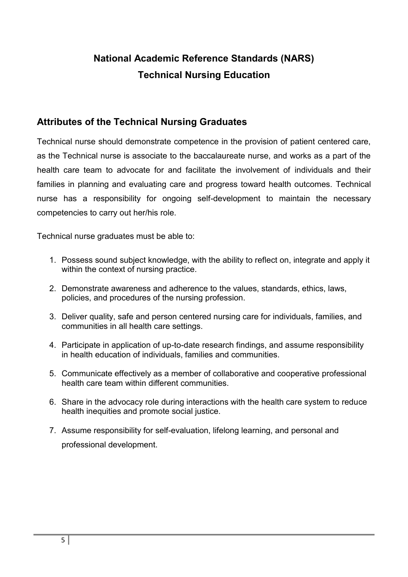# **National Academic Reference Standards (NARS) Technical Nursing Education**

# **Attributes of the Technical Nursing Graduates**

Technical nurse should demonstrate competence in the provision of patient centered care, as the Technical nurse is associate to the baccalaureate nurse, and works as a part of the health care team to advocate for and facilitate the involvement of individuals and their families in planning and evaluating care and progress toward health outcomes. Technical nurse has a responsibility for ongoing self-development to maintain the necessary competencies to carry out her/his role.

Technical nurse graduates must be able to:

- 1. Possess sound subject knowledge, with the ability to reflect on, integrate and apply it within the context of nursing practice.
- 2. Demonstrate awareness and adherence to the values, standards, ethics, laws, policies, and procedures of the nursing profession.
- 3. Deliver quality, safe and person centered nursing care for individuals, families, and communities in all health care settings.
- 4. Participate in application of up-to-date research findings, and assume responsibility in health education of individuals, families and communities.
- 5. Communicate effectively as a member of collaborative and cooperative professional health care team within different communities.
- 6. Share in the advocacy role during interactions with the health care system to reduce health inequities and promote social justice.
- 7. Assume responsibility for self-evaluation, lifelong learning, and personal and professional development.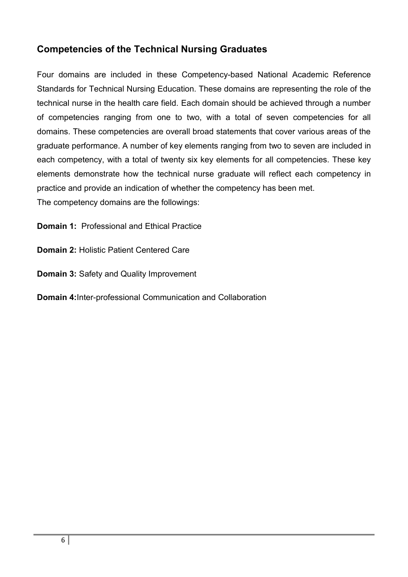# **Competencies of the Technical Nursing Graduates**

Four domains are included in these Competency-based National Academic Reference Standards for Technical Nursing Education. These domains are representing the role of the technical nurse in the health care field. Each domain should be achieved through a number of competencies ranging from one to two, with a total of seven competencies for all domains. These competencies are overall broad statements that cover various areas of the graduate performance. A number of key elements ranging from two to seven are included in each competency, with a total of twenty six key elements for all competencies. These key elements demonstrate how the technical nurse graduate will reflect each competency in practice and provide an indication of whether the competency has been met. The competency domains are the followings:

**Domain 1:** Professional and Ethical Practice

**Domain 2:** Holistic Patient Centered Care

**Domain 3:** Safety and Quality Improvement

**Domain 4:**Inter-professional Communication and Collaboration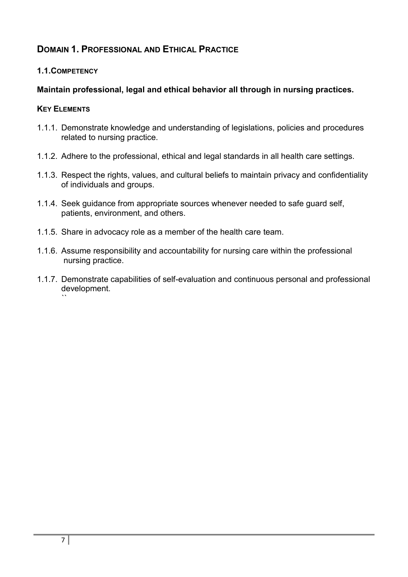# **DOMAIN 1. PROFESSIONAL AND ETHICAL PRACTICE**

#### **1.1.COMPETENCY**

## **Maintain professional, legal and ethical behavior all through in nursing practices.**

- 1.1.1. Demonstrate knowledge and understanding of legislations, policies and procedures related to nursing practice.
- 1.1.2. Adhere to the professional, ethical and legal standards in all health care settings.
- 1.1.3. Respect the rights, values, and cultural beliefs to maintain privacy and confidentiality of individuals and groups.
- 1.1.4. Seek guidance from appropriate sources whenever needed to safe guard self, patients, environment, and others.
- 1.1.5. Share in advocacy role as a member of the health care team.
- 1.1.6. Assume responsibility and accountability for nursing care within the professional nursing practice.
- 1.1.7. Demonstrate capabilities of self-evaluation and continuous personal and professional development. ``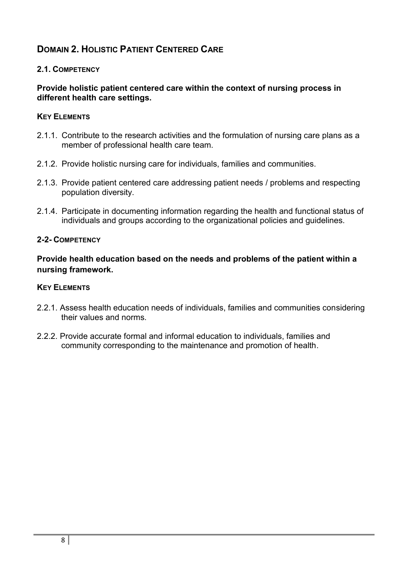# **DOMAIN 2. HOLISTIC PATIENT CENTERED CARE**

### **2.1. COMPETENCY**

#### **Provide holistic patient centered care within the context of nursing process in different health care settings.**

### **KEY ELEMENTS**

- 2.1.1. Contribute to the research activities and the formulation of nursing care plans as a member of professional health care team.
- 2.1.2. Provide holistic nursing care for individuals, families and communities.
- 2.1.3. Provide patient centered care addressing patient needs / problems and respecting population diversity.
- 2.1.4. Participate in documenting information regarding the health and functional status of individuals and groups according to the organizational policies and guidelines.

### **2-2- COMPETENCY**

**Provide health education based on the needs and problems of the patient within a nursing framework.**

- 2.2.1. Assess health education needs of individuals, families and communities considering their values and norms.
- 2.2.2. Provide accurate formal and informal education to individuals, families and community corresponding to the maintenance and promotion of health.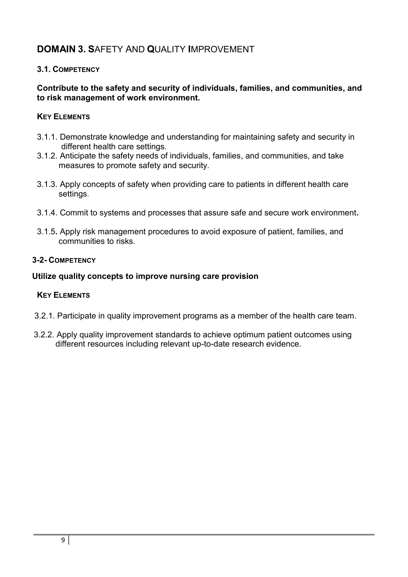# **DOMAIN 3. S**AFETY AND **Q**UALITY **I**MPROVEMENT

## **3.1. COMPETENCY**

#### **Contribute to the safety and security of individuals, families, and communities, and to risk management of work environment.**

### **KEY ELEMENTS**

- 3.1.1. Demonstrate knowledge and understanding for maintaining safety and security in different health care settings.
- 3.1.2. Anticipate the safety needs of individuals, families, and communities, and take measures to promote safety and security.
- 3.1.3. Apply concepts of safety when providing care to patients in different health care settings.
- 3.1.4. Commit to systems and processes that assure safe and secure work environment**.**
- 3.1.5**.** Apply risk management procedures to avoid exposure of patient, families, and communities to risks.

#### **3-2- COMPETENCY**

#### **Utilize quality concepts to improve nursing care provision**

- 3.2.1. Participate in quality improvement programs as a member of the health care team.
- 3.2.2. Apply quality improvement standards to achieve optimum patient outcomes using different resources including relevant up-to-date research evidence.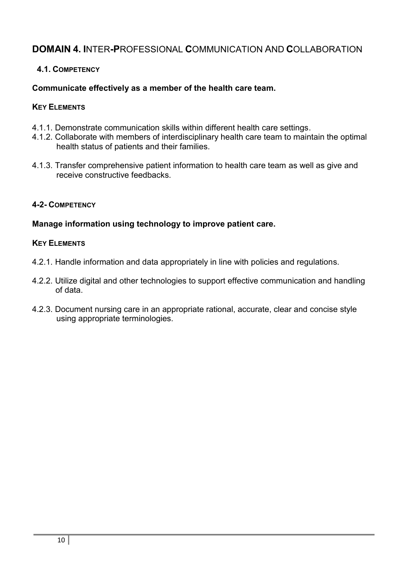# **DOMAIN 4. I**NTER**-P**ROFESSIONAL **C**OMMUNICATION AND **C**OLLABORATION

## **4.1. COMPETENCY**

#### **Communicate effectively as a member of the health care team.**

#### **KEY ELEMENTS**

- 4.1.1. Demonstrate communication skills within different health care settings.
- 4.1.2. Collaborate with members of interdisciplinary health care team to maintain the optimal health status of patients and their families.
- 4.1.3. Transfer comprehensive patient information to health care team as well as give and receive constructive feedbacks.

#### **4-2- COMPETENCY**

#### **Manage information using technology to improve patient care.**

- 4.2.1. Handle information and data appropriately in line with policies and regulations.
- 4.2.2. Utilize digital and other technologies to support effective communication and handling of data.
- 4.2.3. Document nursing care in an appropriate rational, accurate, clear and concise style using appropriate terminologies.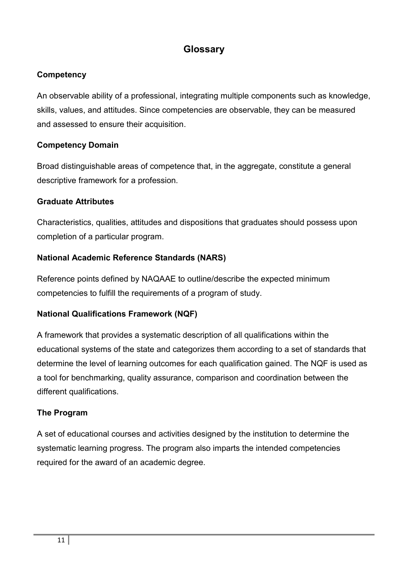# **Glossary**

## **Competency**

An observable ability of a professional, integrating multiple components such as knowledge, skills, values, and attitudes. Since competencies are observable, they can be measured and assessed to ensure their acquisition.

#### **Competency Domain**

Broad distinguishable areas of competence that, in the aggregate, constitute a general descriptive framework for a profession.

#### **Graduate Attributes**

Characteristics, qualities, attitudes and dispositions that graduates should possess upon completion of a particular program.

## **National Academic Reference Standards (NARS)**

Reference points defined by NAQAAE to outline/describe the expected minimum competencies to fulfill the requirements of a program of study.

## **National Qualifications Framework (NQF)**

A framework that provides a systematic description of all qualifications within the educational systems of the state and categorizes them according to a set of standards that determine the level of learning outcomes for each qualification gained. The NQF is used as a tool for benchmarking, quality assurance, comparison and coordination between the different qualifications.

#### **The Program**

A set of educational courses and activities designed by the institution to determine the systematic learning progress. The program also imparts the intended competencies required for the award of an academic degree.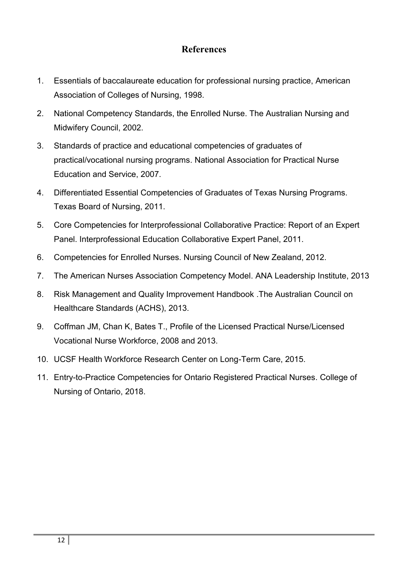## **References**

- 1. Essentials of baccalaureate education for professional nursing practice, American Association of Colleges of Nursing, 1998.
- 2. National Competency Standards, the Enrolled Nurse. The Australian Nursing and Midwifery Council, 2002.
- 3. Standards of practice and educational competencies of graduates of practical/vocational nursing programs. National Association for Practical Nurse Education and Service, 2007.
- 4. Differentiated Essential Competencies of Graduates of Texas Nursing Programs. Texas Board of Nursing, 2011.
- 5. Core Competencies for Interprofessional Collaborative Practice: Report of an Expert Panel. Interprofessional Education Collaborative Expert Panel, 2011.
- 6. Competencies for Enrolled Nurses. Nursing Council of New Zealand, 2012.
- 7. The American Nurses Association Competency Model. ANA Leadership Institute, 2013
- 8. Risk Management and Quality Improvement Handbook .The Australian Council on Healthcare Standards (ACHS), 2013.
- 9. Coffman JM, Chan K, Bates T., Profile of the Licensed Practical Nurse/Licensed Vocational Nurse Workforce, 2008 and 2013.
- 10. UCSF Health Workforce Research Center on Long-Term Care, 2015.
- 11. Entry-to-Practice Competencies for Ontario Registered Practical Nurses. College of Nursing of Ontario, 2018.